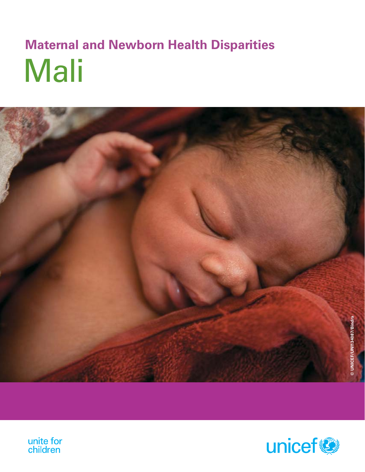# Mali **Maternal and Newborn Health Disparities**





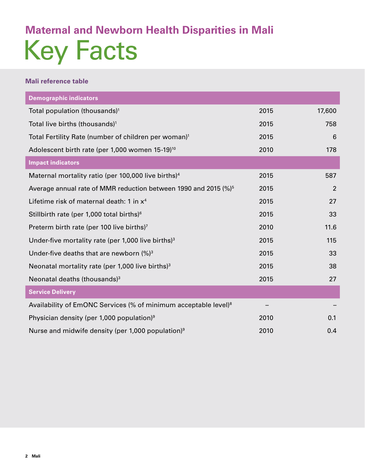# Key Facts **Maternal and Newborn Health Disparities in Mali**

# **Mali reference table**

| <b>Demographic indicators</b>                                               |      |                |
|-----------------------------------------------------------------------------|------|----------------|
| Total population (thousands) <sup>1</sup>                                   | 2015 | 17,600         |
| Total live births (thousands) <sup>1</sup>                                  | 2015 | 758            |
| Total Fertility Rate (number of children per woman) <sup>1</sup>            | 2015 | 6              |
| Adolescent birth rate (per 1,000 women 15-19) <sup>10</sup>                 | 2010 | 178            |
| <b>Impact indicators</b>                                                    |      |                |
| Maternal mortality ratio (per 100,000 live births) <sup>4</sup>             | 2015 | 587            |
| Average annual rate of MMR reduction between 1990 and 2015 (%) <sup>5</sup> | 2015 | $\overline{2}$ |
| Lifetime risk of maternal death: 1 in x <sup>4</sup>                        | 2015 | 27             |
| Stillbirth rate (per 1,000 total births) <sup>6</sup>                       | 2015 | 33             |
| Preterm birth rate (per 100 live births) <sup>7</sup>                       | 2010 | 11.6           |
| Under-five mortality rate (per 1,000 live births) $3$                       | 2015 | 115            |
| Under-five deaths that are newborn $\left(\frac{9}{6}\right)^3$             | 2015 | 33             |
| Neonatal mortality rate (per 1,000 live births) <sup>3</sup>                | 2015 | 38             |
| Neonatal deaths (thousands) <sup>3</sup>                                    | 2015 | 27             |
| <b>Service Delivery</b>                                                     |      |                |
| Availability of EmONC Services (% of minimum acceptable level) <sup>8</sup> |      |                |
| Physician density (per 1,000 population) <sup>9</sup>                       | 2010 | 0.1            |
| Nurse and midwife density (per 1,000 population) <sup>9</sup>               | 2010 | 0.4            |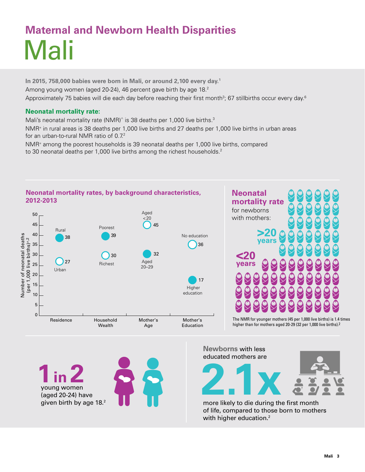# Mali **Maternal and Newborn Health Disparities**

**In 2015, 758,000 babies were born in Mali, or around 2,100 every day.1** Among young women (aged 20-24), 46 percent gave birth by age 18.<sup>2</sup> Approximately 75 babies will die each day before reaching their first month $^3$ ; 67 stillbirths occur every day. $^6$ 

# **Neonatal mortality rate:**

Mali's neonatal mortality rate (NMR) $\hat{ }$  is 38 deaths per 1,000 live births.<sup>3</sup>

NMR≠ in rural areas is 38 deaths per 1,000 live births and 27 deaths per 1,000 live births in urban areas for an urban-to-rural NMR ratio of 0.7. $2$ 

NMR≠ among the poorest households is 39 neonatal deaths per 1,000 live births, compared to 30 neonatal deaths per 1,000 live births among the richest households.<sup>2</sup>



**1in 2** young women (aged 20-24) have given birth by age 18.<sup>2</sup>



**Newborns** with less educated mothers are



of life, compared to those born to mothers with higher education.<sup>2</sup>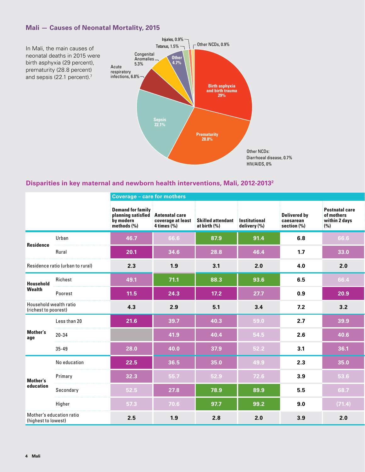# **Mali — Causes of Neonatal Mortality, 2015**



# **Disparities in key maternal and newborn health interventions, Mali, 2012-20132**

|                                                |                                  | <b>Coverage - care for mothers</b>                                                        |                |                                                                      |              |                                          |                                                             |  |  |  |  |  |
|------------------------------------------------|----------------------------------|-------------------------------------------------------------------------------------------|----------------|----------------------------------------------------------------------|--------------|------------------------------------------|-------------------------------------------------------------|--|--|--|--|--|
|                                                |                                  | <b>Demand for family</b><br>planning satisfied Antenatal care<br>by modern<br>methods (%) | $4 \times (%)$ | coverage at least Skilled attendant Institutional<br>at birth $(\%)$ | delivery (%) | Delivered by<br>caesarean<br>section (%) | <b>Postnatal care</b><br>of mothers<br>within 2 days<br>(%) |  |  |  |  |  |
| Residence                                      | Urban                            | 46.7                                                                                      | 66.6           | 87.9                                                                 | 91.4         | 6.8                                      | 66.6                                                        |  |  |  |  |  |
|                                                | Rural                            | 20.1                                                                                      | 34.6           | 28.8                                                                 | 46.4         | 1.7                                      | 33.0                                                        |  |  |  |  |  |
|                                                | Residence ratio (urban to rural) | 2.3                                                                                       | 1.9            | 3.1                                                                  | 2.0          | 4.0                                      | 2.0                                                         |  |  |  |  |  |
| Household<br>Wealth                            | Richest                          | 49.1                                                                                      | 71.1           | 88.3                                                                 | 93.6         | 6.5                                      | 66.4                                                        |  |  |  |  |  |
|                                                | Poorest                          | 11.5                                                                                      | 24.3           | $17.2$                                                               | 27.7         | 0.9                                      | 20.9                                                        |  |  |  |  |  |
| Household wealth ratio<br>(richest to poorest) |                                  | 4.3                                                                                       | 2.9            | 5.1                                                                  | 3.4          | 7.2                                      | 3.2                                                         |  |  |  |  |  |
| Mother's<br>age                                | Less than 20                     | 21.6                                                                                      | 39.7           | 40.3                                                                 | 59.0         | 2.7                                      | 39.9                                                        |  |  |  |  |  |
|                                                | $20 - 34$                        |                                                                                           | 41.9           | 40.4                                                                 | 54.5         | 2.6                                      | 40.6                                                        |  |  |  |  |  |
|                                                | $35 - 49$                        | 28.0                                                                                      | 40.0           | 37.9                                                                 | 52.2         | 3.1                                      | 36.1                                                        |  |  |  |  |  |
|                                                | No education                     | 22.5                                                                                      | 36.5           | 35.0                                                                 | 49.9         | 2.3                                      | 35.0                                                        |  |  |  |  |  |
| Mother's                                       | Primary                          | 32.3                                                                                      | 55.7           | 52.9                                                                 | 72.6         | 3.9                                      | 53.6                                                        |  |  |  |  |  |
| education                                      | Secondary                        | 52.5                                                                                      | 27.8           | 78.9                                                                 | 89.9         | 5.5                                      | 68.7                                                        |  |  |  |  |  |
|                                                | Higher                           | 57.3                                                                                      | 70.6           | 97.7                                                                 | 99.2         | 9.0                                      | (71.4)                                                      |  |  |  |  |  |
| (highest to lowest)                            | Mother's education ratio         | 2.5                                                                                       | 1.9            | 2.8                                                                  | 2.0          | 3.9                                      | 2.0                                                         |  |  |  |  |  |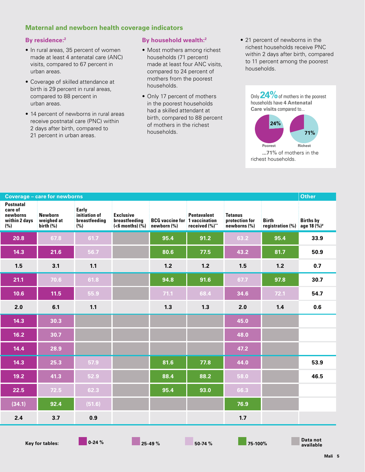### **Maternal and newborn health coverage indicators**

#### **By residence:2**

- In rural areas, 35 percent of women made at least 4 antenatal care (ANC) visits, compared to 67 percent in urban areas.
- Coverage of skilled attendance at birth is 29 percent in rural areas, compared to 88 percent in urban areas.
- 14 percent of newborns in rural areas receive postnatal care (PNC) within 2 days after birth, compared to 21 percent in urban areas.

#### **By household wealth:2**

- Most mothers among richest households (71 percent) made at least four ANC visits, compared to 24 percent of mothers from the poorest households.
- Only 17 percent of mothers in the poorest households had a skilled attendant at birth, compared to 88 percent of mothers in the richest households.
- 21 percent of newborns in the richest households receive PNC within 2 days after birth, compared to 11 percent among the poorest households.



| Other<br><b>Coverage - care for newborns</b>             |                                                            |                                                |                                                                                       |             |                               |                                           |                           |                                             |  |  |  |
|----------------------------------------------------------|------------------------------------------------------------|------------------------------------------------|---------------------------------------------------------------------------------------|-------------|-------------------------------|-------------------------------------------|---------------------------|---------------------------------------------|--|--|--|
| Postnatal<br>care of<br>newborns<br>within 2 days<br>(%) | Newborn<br>weighed at<br>$\frac{1}{2}$ birth $\frac{1}{2}$ | Early<br>initiation of<br>breastfeeding<br>(%) | Exclusive<br><b>breastfeeding BCG vaccine for 1 vaccination</b><br>$(<$ 6 months) (%) | newborn (%) | Pentavalent<br>received (%)** | Tetanus<br>protection for<br>newborns (%) | Birth<br>registration (%) | <b>Births by</b><br>age 18 (%) <sup>#</sup> |  |  |  |
| 20.8                                                     | 67.8                                                       | 61.7                                           |                                                                                       | 95.4        | 91.2                          | 63.2                                      | 95.4                      | 33.9                                        |  |  |  |
| 14.3                                                     | 21.6                                                       | 56.7                                           |                                                                                       | 80.6        | 77.5                          | 43.2                                      | 81.7                      | 50.9                                        |  |  |  |
| 1.5                                                      | 3.1                                                        | 1.1                                            |                                                                                       | 1.2         | $1.2$                         | 1.5                                       | 1.2                       | 0.7                                         |  |  |  |
| 21.1                                                     | 70.6                                                       | 61.8                                           |                                                                                       | 94.8        | 91.6                          | 67.7                                      | 97.8                      | 30.7                                        |  |  |  |
| 10.6                                                     | 11.5                                                       | 55.9                                           |                                                                                       | 71.1        | 68.4                          | 34.6                                      | $72.1$                    | 54.7                                        |  |  |  |
| 2.0                                                      | 6.1                                                        | 1.1                                            |                                                                                       | 1.3         | 1.3                           | 2.0                                       | 1.4                       | 0.6                                         |  |  |  |
| 14.3                                                     | 30.3                                                       |                                                |                                                                                       |             |                               | 45.0                                      |                           |                                             |  |  |  |
| 16.2                                                     | 30.7                                                       |                                                |                                                                                       |             |                               | 48.0                                      |                           |                                             |  |  |  |
| 14.4                                                     | 28.9                                                       |                                                |                                                                                       |             |                               | 47.2                                      |                           |                                             |  |  |  |
| 14.3                                                     | 25.3                                                       | 57.9                                           |                                                                                       | 81.6        | 77.8                          | 44.0                                      |                           | 53.9                                        |  |  |  |
| 19.2                                                     | 41.3                                                       | 52.9                                           |                                                                                       | 88.4        | 88.2                          | 58.0                                      |                           | 46.5                                        |  |  |  |
| 22.5                                                     | 72.5                                                       | 62.3                                           |                                                                                       | 95.4        | 93.0                          | 66.3                                      |                           |                                             |  |  |  |
| (34.1)                                                   | 92.4                                                       | (51.6)                                         |                                                                                       |             |                               | 76.9                                      |                           |                                             |  |  |  |
| 2.4                                                      | 3.7                                                        | 0.9                                            |                                                                                       |             |                               | 1.7                                       |                           |                                             |  |  |  |

**Data not available**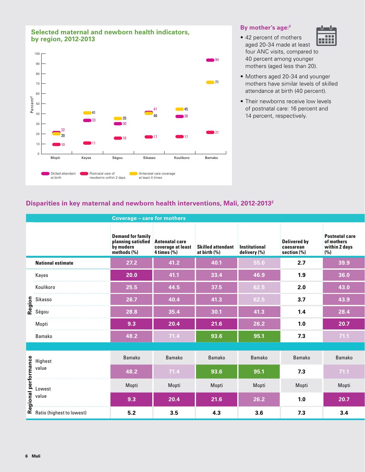#### **Selected maternal and newborn health indicators, by region, 2012-2013**



#### **By mother's age:2**

- 42 percent of mothers |||||| aged 20-34 made at least four ANC visits, compared to 40 percent among younger mothers (aged less than 20).
- Mothers aged 20-34 and younger mothers have similar levels of skilled attendance at birth (40 percent).
- Their newborns receive low levels of postnatal care: 16 percent and 14 percent, respectively.

# **Disparities in key maternal and newborn health interventions, Mali, 2012-20132**

|                                                                                                    | <b>Coverage - care for mothers</b>                                         |                                                                |                                          |                               |                                                    |                                                             |  |  |  |  |
|----------------------------------------------------------------------------------------------------|----------------------------------------------------------------------------|----------------------------------------------------------------|------------------------------------------|-------------------------------|----------------------------------------------------|-------------------------------------------------------------|--|--|--|--|
|                                                                                                    | <b>Demand for family</b><br>planning satisfied<br>by modern<br>methods (%) | <b>Antenatal care</b><br>coverage at least<br>$4$ times $(\%)$ | <b>Skilled attendant</b><br>at birth (%) | Institutional<br>delivery (%) | <b>Delivered by</b><br>caesarean<br>section $(\%)$ | <b>Postnatal care</b><br>of mothers<br>within 2 days<br>(%) |  |  |  |  |
| <b>National estimate</b>                                                                           | 27.2                                                                       | 41.2                                                           | 40.1                                     | 55.0                          | 2.7                                                | 39.9                                                        |  |  |  |  |
| Kayes                                                                                              | 20.0                                                                       | 41.1                                                           | 33.4                                     | 46.9                          | 1.9                                                | 36.0                                                        |  |  |  |  |
| Koulikoro                                                                                          | 25.5                                                                       | 44.5                                                           | 37.5                                     | 62.5                          | 2.0                                                | 43.0                                                        |  |  |  |  |
| Sikasso<br><b>C</b><br>Ségou                                                                       | 26.7                                                                       | 40.4                                                           | 41.3                                     | 62.5                          | 3.7                                                | 43.9                                                        |  |  |  |  |
|                                                                                                    | 28.8                                                                       | 35.4                                                           | 30.1                                     | 41.3                          | 1.4                                                | 28.4                                                        |  |  |  |  |
| Mopti                                                                                              | 9.3                                                                        | 20.4                                                           | 21.6                                     | 26.2                          | 1.0                                                | 20.7                                                        |  |  |  |  |
| Bamako                                                                                             | 48.2                                                                       | 71.4                                                           | 93.6                                     | 95.1                          | 7.3                                                | 71.1                                                        |  |  |  |  |
|                                                                                                    |                                                                            |                                                                |                                          |                               |                                                    |                                                             |  |  |  |  |
|                                                                                                    | Bamako                                                                     | Bamako                                                         | Bamako                                   | Bamako                        | Bamako                                             | Bamako                                                      |  |  |  |  |
|                                                                                                    | 48.2                                                                       | 71.4                                                           | 93.6                                     | 95.1                          | 7.3                                                | 71.1                                                        |  |  |  |  |
| e Highest<br>value<br><b>budie Lowest</b><br>Lowest<br>value<br><b>c</b> Ratio (highest to lowest) | Mopti                                                                      | Mopti                                                          | Mopti                                    | Mopti                         | Mopti                                              | Mopti                                                       |  |  |  |  |
|                                                                                                    | 9.3                                                                        | 20.4                                                           | 21.6                                     | 26.2                          | 1.0                                                | 20.7                                                        |  |  |  |  |
|                                                                                                    | 5.2                                                                        | 3.5                                                            | 4.3                                      | 3.6                           | 7.3                                                | 3.4                                                         |  |  |  |  |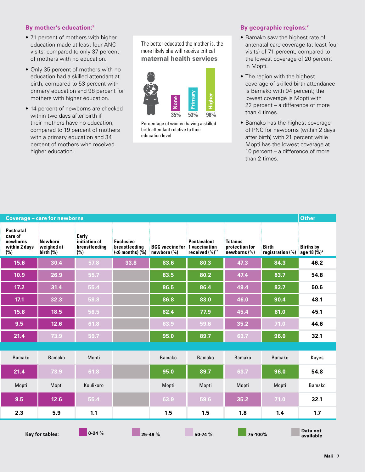#### **By mother's education:2**

- 71 percent of mothers with higher education made at least four ANC visits, compared to only 37 percent of mothers with no education.
- Only 35 percent of mothers with no education had a skilled attendant at birth, compared to 53 percent with primary education and 98 percent for mothers with higher education.
- 14 percent of newborns are checked within two days after birth if their mothers have no education, compared to 19 percent of mothers with a primary education and 34 percent of mothers who received higher education.

The better educated the mother is, the more likely she will receive critical **maternal health services**



Percentage of women having a skilled birth attendant relative to their education level

#### **By geographic regions:2**

- Bamako saw the highest rate of antenatal care coverage (at least four visits) of 71 percent, compared to the lowest coverage of 20 percent in Mopti.
- The region with the highest coverage of skilled birth attendance is Bamako with 94 percent; the lowest coverage is Mopti with 22 percent – a difference of more than 4 times.
- Bamako has the highest coverage of PNC for newborns (within 2 days after birth) with 21 percent while Mopti has the lowest coverage at 10 percent – a difference of more than 2 times.

|  |           | <b>Coverage - care for newborns</b>            |                            |                           |             |                                                                      |                                                  |                           | <b>Other</b>                              |
|--|-----------|------------------------------------------------|----------------------------|---------------------------|-------------|----------------------------------------------------------------------|--------------------------------------------------|---------------------------|-------------------------------------------|
|  |           | Early<br>initiation of<br>breastfeeding<br>(%) | Exclusive<br>breastfeeding | $(6 months)$ $(\bar{\%})$ | newborn (%) | Pentavalent<br><b>BCG</b> vaccine for 1 vaccination<br>received (%)' | <b>Tetanus</b><br>protection for<br>newborns (%) | Birth<br>registration (%) | <b>Births by</b><br>age 18 $(\dot{\%})^*$ |
|  | 57.8      |                                                |                            | 33.8                      | 83.6        | 80.3                                                                 | 47.3                                             | 84.3                      | 46.2                                      |
|  | 55.7      |                                                |                            |                           | 83.5        | 80.2                                                                 | 47.4                                             | 83.7                      | 54.8                                      |
|  | 55.4      |                                                |                            |                           | 86.5        | 86.4                                                                 | 49.4                                             | 83.7                      | 50.6                                      |
|  | 58.8      |                                                |                            |                           | 86.8        | 83.0                                                                 | 46.0                                             | 90.4                      | 48.1                                      |
|  | 56.5      |                                                |                            |                           | 82.4        | 77.9                                                                 | 45.4                                             | 81.0                      | 45.1                                      |
|  | 61.8      |                                                |                            |                           | 63.9        | 59.6                                                                 | 35.2                                             | 71.0                      | 44.6                                      |
|  | 59.7      |                                                |                            |                           | 95.0        | 89.7                                                                 | 63.7                                             | 96.0                      | 32.1                                      |
|  |           |                                                |                            |                           |             |                                                                      |                                                  |                           |                                           |
|  | Mopti     |                                                |                            |                           | Bamako      | Bamako                                                               | Bamako                                           | Bamako                    | Kayes                                     |
|  | 61.8      |                                                |                            |                           | 95.0        | 89.7                                                                 | 63.7                                             | 96.0                      | 54.8                                      |
|  | Koulikoro |                                                |                            |                           | Mopti       | Mopti                                                                | Mopti                                            | Mopti                     | Bamako                                    |
|  | 55.4      |                                                |                            |                           | 63.9        | 59.6                                                                 | 35.2                                             | 71.0                      | 32.1                                      |
|  | 1.1       |                                                |                            |                           | 1.5         | 1.5                                                                  | 1.8                                              | 1.4                       | 1.7                                       |
|  | $0-24%$   |                                                |                            | $25-49%$                  |             | 50-74 %                                                              | $75-100%$                                        |                           | Data not<br>available                     |